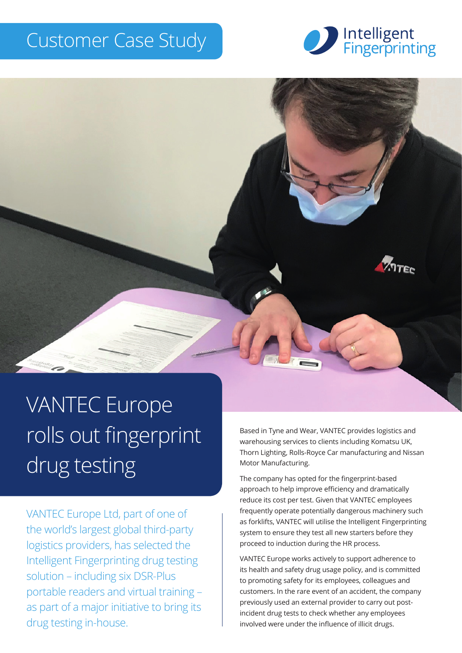## Customer Case Study





# VANTEC Europe rolls out fingerprint drug testing

VANTEC Europe Ltd, part of one of the world's largest global third-party logistics providers, has selected the Intelligent Fingerprinting drug testing solution – including six DSR-Plus portable readers and virtual training – as part of a major initiative to bring its drug testing in-house.

Based in Tyne and Wear, VANTEC provides logistics and warehousing services to clients including Komatsu UK, Thorn Lighting, Rolls-Royce Car manufacturing and Nissan Motor Manufacturing.

The company has opted for the fingerprint-based approach to help improve efficiency and dramatically reduce its cost per test. Given that VANTEC employees frequently operate potentially dangerous machinery such as forklifts, VANTEC will utilise the Intelligent Fingerprinting system to ensure they test all new starters before they proceed to induction during the HR process.

VANTEC Europe works actively to support adherence to its health and safety drug usage policy, and is committed to promoting safety for its employees, colleagues and customers. In the rare event of an accident, the company previously used an external provider to carry out postincident drug tests to check whether any employees involved were under the influence of illicit drugs.